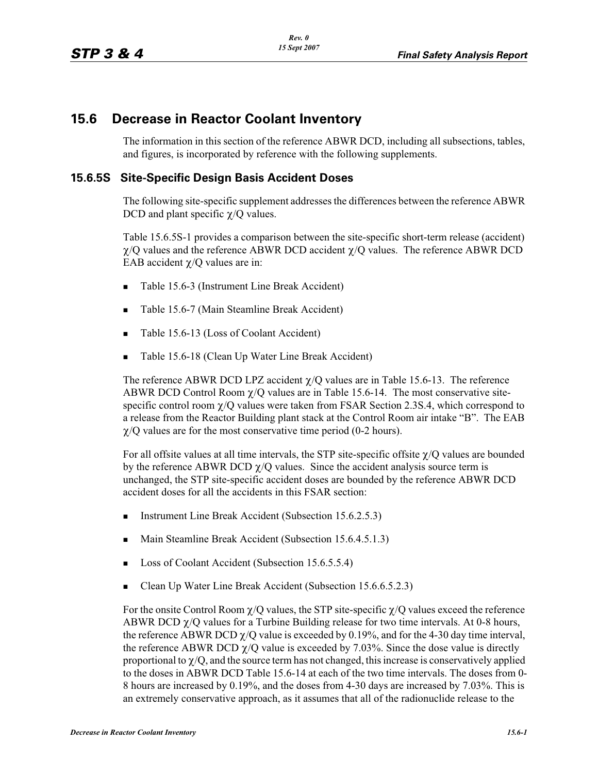# **15.6 Decrease in Reactor Coolant Inventory**

The information in this section of the reference ABWR DCD, including all subsections, tables, and figures, is incorporated by reference with the following supplements.

### **15.6.5S Site-Specific Design Basis Accident Doses**

The following site-specific supplement addresses the differences between the reference ABWR DCD and plant specific  $\chi$ /Q values.

Table 15.6.5S-1 provides a comparison between the site-specific short-term release (accident)  $\chi$ /Q values and the reference ABWR DCD accident  $\chi$ /Q values. The reference ABWR DCD EAB accident  $\chi$ /Q values are in:

- -Table 15.6-3 (Instrument Line Break Accident)
- -Table 15.6-7 (Main Steamline Break Accident)
- -Table 15.6-13 (Loss of Coolant Accident)
- -Table 15.6-18 (Clean Up Water Line Break Accident)

The reference ABWR DCD LPZ accident  $\chi$ /Q values are in Table 15.6-13. The reference ABWR DCD Control Room  $\chi$ /Q values are in Table 15.6-14. The most conservative sitespecific control room  $\chi$ /Q values were taken from FSAR Section 2.3S.4, which correspond to a release from the Reactor Building plant stack at the Control Room air intake "B". The EAB  $\chi$ /Q values are for the most conservative time period (0-2 hours).

For all offsite values at all time intervals, the STP site-specific offsite  $\chi$ /Q values are bounded by the reference ABWR DCD  $\chi$ /Q values. Since the accident analysis source term is unchanged, the STP site-specific accident doses are bounded by the reference ABWR DCD accident doses for all the accidents in this FSAR section:

- -Instrument Line Break Accident (Subsection 15.6.2.5.3)
- -Main Steamline Break Accident (Subsection 15.6.4.5.1.3)
- -Loss of Coolant Accident (Subsection 15.6.5.5.4)
- -Clean Up Water Line Break Accident (Subsection 15.6.6.5.2.3)

For the onsite Control Room  $\chi$ /Q values, the STP site-specific  $\chi$ /Q values exceed the reference ABWR DCD  $\chi$ /Q values for a Turbine Building release for two time intervals. At 0-8 hours, the reference ABWR DCD  $\chi$ /Q value is exceeded by 0.19%, and for the 4-30 day time interval, the reference ABWR DCD  $\chi$ /Q value is exceeded by 7.03%. Since the dose value is directly proportional to  $\chi$ /Q, and the source term has not changed, this increase is conservatively applied to the doses in ABWR DCD Table 15.6-14 at each of the two time intervals. The doses from 0- 8 hours are increased by 0.19%, and the doses from 4-30 days are increased by 7.03%. This is an extremely conservative approach, as it assumes that all of the radionuclide release to the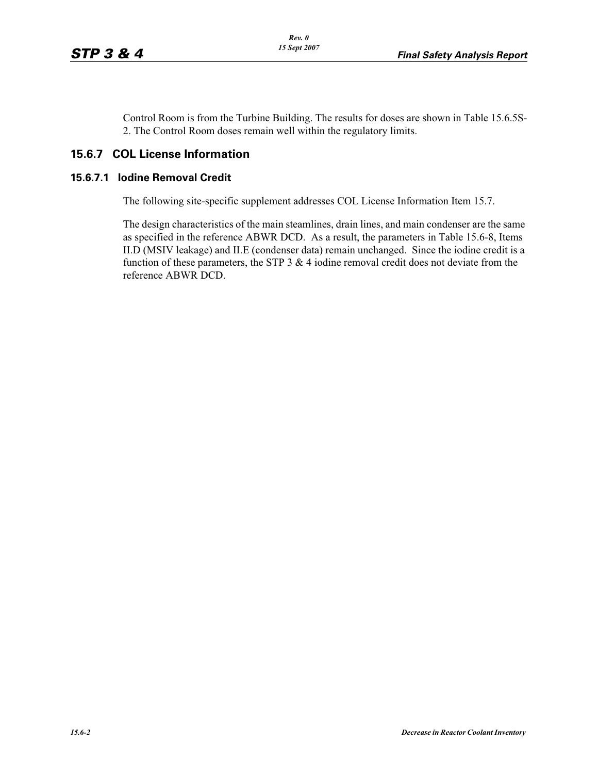Control Room is from the Turbine Building. The results for doses are shown in Table 15.6.5S-2. The Control Room doses remain well within the regulatory limits.

### **15.6.7 COL License Information**

#### **15.6.7.1 Iodine Removal Credit**

The following site-specific supplement addresses COL License Information Item 15.7.

The design characteristics of the main steamlines, drain lines, and main condenser are the same as specified in the reference ABWR DCD. As a result, the parameters in Table 15.6-8, Items II.D (MSIV leakage) and II.E (condenser data) remain unchanged. Since the iodine credit is a function of these parameters, the STP  $3 \& 4$  iodine removal credit does not deviate from the reference ABWR DCD.